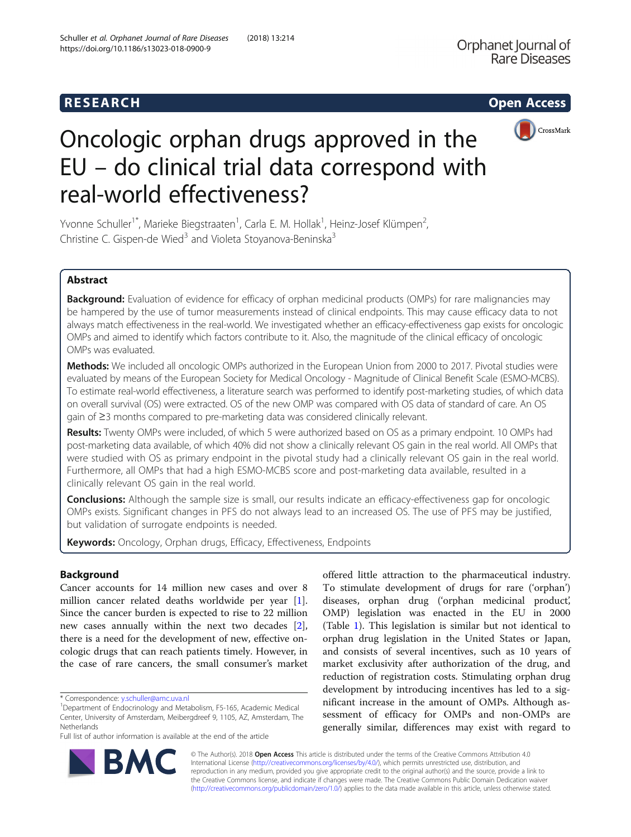

# Oncologic orphan drugs approved in the EU – do clinical trial data correspond with real-world effectiveness?

Yvonne Schuller<sup>1\*</sup>, Marieke Biegstraaten<sup>1</sup>, Carla E. M. Hollak<sup>1</sup>, Heinz-Josef Klümpen<sup>2</sup> , Christine C. Gispen-de Wied<sup>3</sup> and Violeta Stoyanova-Beninska<sup>3</sup>

# Abstract

**Background:** Evaluation of evidence for efficacy of orphan medicinal products (OMPs) for rare malignancies may be hampered by the use of tumor measurements instead of clinical endpoints. This may cause efficacy data to not always match effectiveness in the real-world. We investigated whether an efficacy-effectiveness gap exists for oncologic OMPs and aimed to identify which factors contribute to it. Also, the magnitude of the clinical efficacy of oncologic OMPs was evaluated.

Methods: We included all oncologic OMPs authorized in the European Union from 2000 to 2017. Pivotal studies were evaluated by means of the European Society for Medical Oncology - Magnitude of Clinical Benefit Scale (ESMO-MCBS). To estimate real-world effectiveness, a literature search was performed to identify post-marketing studies, of which data on overall survival (OS) were extracted. OS of the new OMP was compared with OS data of standard of care. An OS gain of ≥3 months compared to pre-marketing data was considered clinically relevant.

Results: Twenty OMPs were included, of which 5 were authorized based on OS as a primary endpoint. 10 OMPs had post-marketing data available, of which 40% did not show a clinically relevant OS gain in the real world. All OMPs that were studied with OS as primary endpoint in the pivotal study had a clinically relevant OS gain in the real world. Furthermore, all OMPs that had a high ESMO-MCBS score and post-marketing data available, resulted in a clinically relevant OS gain in the real world.

**Conclusions:** Although the sample size is small, our results indicate an efficacy-effectiveness gap for oncologic OMPs exists. Significant changes in PFS do not always lead to an increased OS. The use of PFS may be justified, but validation of surrogate endpoints is needed.

Keywords: Oncology, Orphan drugs, Efficacy, Effectiveness, Endpoints

# Background

Cancer accounts for 14 million new cases and over 8 million cancer related deaths worldwide per year [\[1](#page-9-0)]. Since the cancer burden is expected to rise to 22 million new cases annually within the next two decades [\[2](#page-9-0)], there is a need for the development of new, effective oncologic drugs that can reach patients timely. However, in the case of rare cancers, the small consumer's market

offered little attraction to the pharmaceutical industry. To stimulate development of drugs for rare ('orphan') diseases, orphan drug ('orphan medicinal product', OMP) legislation was enacted in the EU in 2000 (Table [1\)](#page-1-0). This legislation is similar but not identical to orphan drug legislation in the United States or Japan, and consists of several incentives, such as 10 years of market exclusivity after authorization of the drug, and reduction of registration costs. Stimulating orphan drug development by introducing incentives has led to a significant increase in the amount of OMPs. Although assessment of efficacy for OMPs and non-OMPs are generally similar, differences may exist with regard to



© The Author(s). 2018 Open Access This article is distributed under the terms of the Creative Commons Attribution 4.0 International License [\(http://creativecommons.org/licenses/by/4.0/](http://creativecommons.org/licenses/by/4.0/)), which permits unrestricted use, distribution, and reproduction in any medium, provided you give appropriate credit to the original author(s) and the source, provide a link to the Creative Commons license, and indicate if changes were made. The Creative Commons Public Domain Dedication waiver [\(http://creativecommons.org/publicdomain/zero/1.0/](http://creativecommons.org/publicdomain/zero/1.0/)) applies to the data made available in this article, unless otherwise stated.

<sup>\*</sup> Correspondence: [y.schuller@amc.uva.nl](mailto:y.schuller@amc.uva.nl) <sup>1</sup>

<sup>&</sup>lt;sup>1</sup>Department of Endocrinology and Metabolism, F5-165, Academic Medical Center, University of Amsterdam, Meibergdreef 9, 1105, AZ, Amsterdam, The **Netherlands** 

Full list of author information is available at the end of the article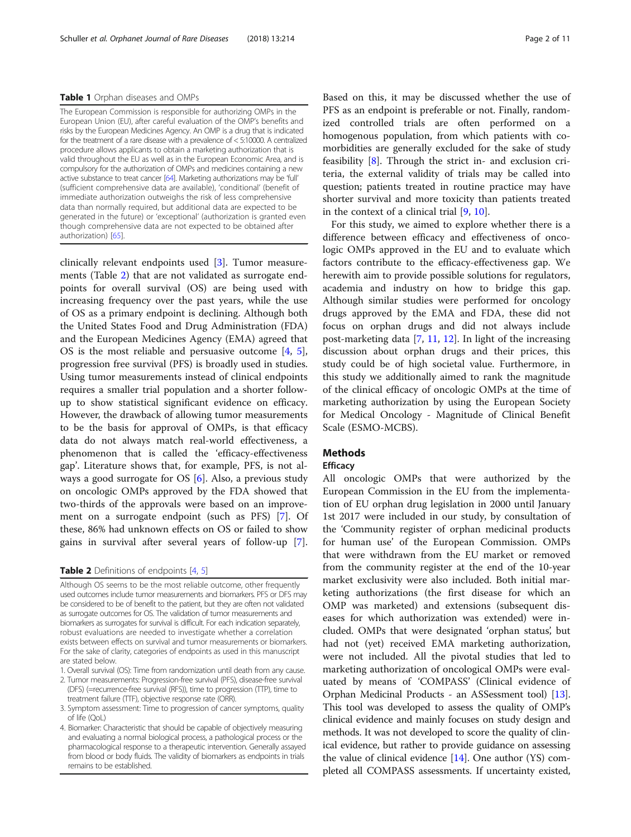#### <span id="page-1-0"></span>Table 1 Orphan diseases and OMPs

The European Commission is responsible for authorizing OMPs in the European Union (EU), after careful evaluation of the OMP's benefits and risks by the European Medicines Agency. An OMP is a drug that is indicated for the treatment of a rare disease with a prevalence of < 5:10000. A centralized procedure allows applicants to obtain a marketing authorization that is valid throughout the EU as well as in the European Economic Area, and is compulsory for the authorization of OMPs and medicines containing a new active substance to treat cancer [[64\]](#page-10-0). Marketing authorizations may be 'full' (sufficient comprehensive data are available), 'conditional' (benefit of immediate authorization outweighs the risk of less comprehensive data than normally required, but additional data are expected to be generated in the future) or 'exceptional' (authorization is granted even though comprehensive data are not expected to be obtained after authorization) [\[65](#page-10-0)].

clinically relevant endpoints used [[3\]](#page-9-0). Tumor measurements (Table 2) that are not validated as surrogate endpoints for overall survival (OS) are being used with increasing frequency over the past years, while the use of OS as a primary endpoint is declining. Although both the United States Food and Drug Administration (FDA) and the European Medicines Agency (EMA) agreed that OS is the most reliable and persuasive outcome [[4,](#page-9-0) [5](#page-9-0)], progression free survival (PFS) is broadly used in studies. Using tumor measurements instead of clinical endpoints requires a smaller trial population and a shorter followup to show statistical significant evidence on efficacy. However, the drawback of allowing tumor measurements to be the basis for approval of OMPs, is that efficacy data do not always match real-world effectiveness, a phenomenon that is called the 'efficacy-effectiveness gap'. Literature shows that, for example, PFS, is not always a good surrogate for OS [[6\]](#page-9-0). Also, a previous study on oncologic OMPs approved by the FDA showed that two-thirds of the approvals were based on an improvement on a surrogate endpoint (such as PFS) [\[7](#page-9-0)]. Of these, 86% had unknown effects on OS or failed to show gains in survival after several years of follow-up [\[7](#page-9-0)].

#### **Table 2** Definitions of endpoints [\[4,](#page-9-0) [5](#page-9-0)]

Although OS seems to be the most reliable outcome, other frequently used outcomes include tumor measurements and biomarkers. PFS or DFS may be considered to be of benefit to the patient, but they are often not validated as surrogate outcomes for OS. The validation of tumor measurements and biomarkers as surrogates for survival is difficult. For each indication separately, robust evaluations are needed to investigate whether a correlation exists between effects on survival and tumor measurements or biomarkers. For the sake of clarity, categories of endpoints as used in this manuscript are stated below.

- 1. Overall survival (OS): Time from randomization until death from any cause.
- 2. Tumor measurements: Progression-free survival (PFS), disease-free survival (DFS) (=recurrence-free survival (RFS)), time to progression (TTP), time to treatment failure (TTF), objective response rate (ORR).
- 3. Symptom assessment: Time to progression of cancer symptoms, quality of life (QoL)
- 4. Biomarker: Characteristic that should be capable of objectively measuring and evaluating a normal biological process, a pathological process or the pharmacological response to a therapeutic intervention. Generally assayed from blood or body fluids. The validity of biomarkers as endpoints in trials remains to be established.

Based on this, it may be discussed whether the use of PFS as an endpoint is preferable or not. Finally, randomized controlled trials are often performed on a homogenous population, from which patients with comorbidities are generally excluded for the sake of study feasibility [[8](#page-9-0)]. Through the strict in- and exclusion criteria, the external validity of trials may be called into question; patients treated in routine practice may have shorter survival and more toxicity than patients treated in the context of a clinical trial [\[9](#page-9-0), [10](#page-9-0)].

For this study, we aimed to explore whether there is a difference between efficacy and effectiveness of oncologic OMPs approved in the EU and to evaluate which factors contribute to the efficacy-effectiveness gap. We herewith aim to provide possible solutions for regulators, academia and industry on how to bridge this gap. Although similar studies were performed for oncology drugs approved by the EMA and FDA, these did not focus on orphan drugs and did not always include post-marketing data [\[7](#page-9-0), [11](#page-9-0), [12](#page-9-0)]. In light of the increasing discussion about orphan drugs and their prices, this study could be of high societal value. Furthermore, in this study we additionally aimed to rank the magnitude of the clinical efficacy of oncologic OMPs at the time of marketing authorization by using the European Society for Medical Oncology - Magnitude of Clinical Benefit Scale (ESMO-MCBS).

## **Methods**

#### **Efficacy**

All oncologic OMPs that were authorized by the European Commission in the EU from the implementation of EU orphan drug legislation in 2000 until January 1st 2017 were included in our study, by consultation of the 'Community register of orphan medicinal products for human use' of the European Commission. OMPs that were withdrawn from the EU market or removed from the community register at the end of the 10-year market exclusivity were also included. Both initial marketing authorizations (the first disease for which an OMP was marketed) and extensions (subsequent diseases for which authorization was extended) were included. OMPs that were designated 'orphan status', but had not (yet) received EMA marketing authorization, were not included. All the pivotal studies that led to marketing authorization of oncological OMPs were evaluated by means of 'COMPASS' (Clinical evidence of Orphan Medicinal Products - an ASSessment tool) [[13](#page-9-0)]. This tool was developed to assess the quality of OMP's clinical evidence and mainly focuses on study design and methods. It was not developed to score the quality of clinical evidence, but rather to provide guidance on assessing the value of clinical evidence [\[14](#page-9-0)]. One author (YS) completed all COMPASS assessments. If uncertainty existed,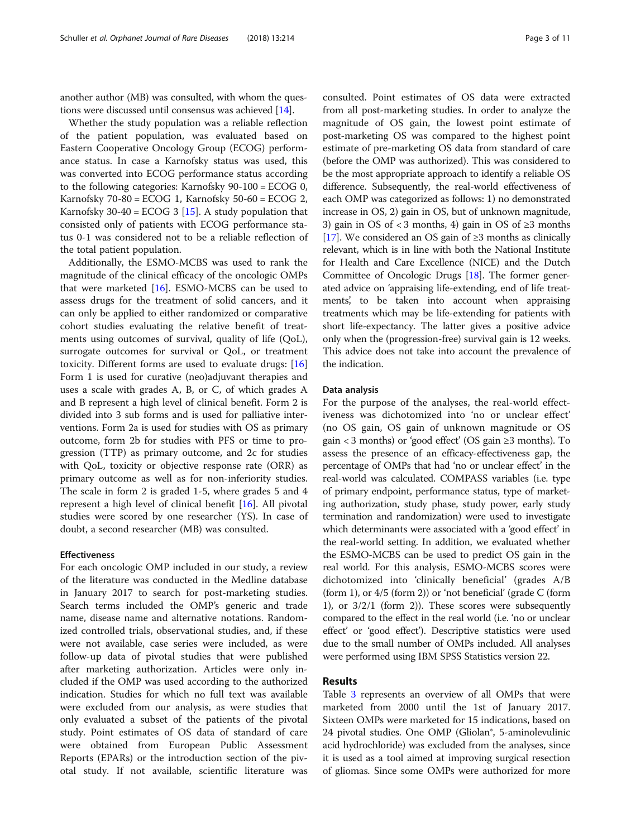another author (MB) was consulted, with whom the questions were discussed until consensus was achieved [\[14\]](#page-9-0).

Whether the study population was a reliable reflection of the patient population, was evaluated based on Eastern Cooperative Oncology Group (ECOG) performance status. In case a Karnofsky status was used, this was converted into ECOG performance status according to the following categories: Karnofsky 90-100 = ECOG 0, Karnofsky 70-80 = ECOG 1, Karnofsky 50-60 = ECOG 2, Karnofsky 30-40 = ECOG 3 [[15](#page-9-0)]. A study population that consisted only of patients with ECOG performance status 0-1 was considered not to be a reliable reflection of the total patient population.

Additionally, the ESMO-MCBS was used to rank the magnitude of the clinical efficacy of the oncologic OMPs that were marketed [\[16\]](#page-9-0). ESMO-MCBS can be used to assess drugs for the treatment of solid cancers, and it can only be applied to either randomized or comparative cohort studies evaluating the relative benefit of treatments using outcomes of survival, quality of life (QoL), surrogate outcomes for survival or QoL, or treatment toxicity. Different forms are used to evaluate drugs: [[16](#page-9-0)] Form 1 is used for curative (neo)adjuvant therapies and uses a scale with grades A, B, or C, of which grades A and B represent a high level of clinical benefit. Form 2 is divided into 3 sub forms and is used for palliative interventions. Form 2a is used for studies with OS as primary outcome, form 2b for studies with PFS or time to progression (TTP) as primary outcome, and 2c for studies with QoL, toxicity or objective response rate (ORR) as primary outcome as well as for non-inferiority studies. The scale in form 2 is graded 1-5, where grades 5 and 4 represent a high level of clinical benefit [[16](#page-9-0)]. All pivotal studies were scored by one researcher (YS). In case of doubt, a second researcher (MB) was consulted.

## Effectiveness

For each oncologic OMP included in our study, a review of the literature was conducted in the Medline database in January 2017 to search for post-marketing studies. Search terms included the OMP's generic and trade name, disease name and alternative notations. Randomized controlled trials, observational studies, and, if these were not available, case series were included, as were follow-up data of pivotal studies that were published after marketing authorization. Articles were only included if the OMP was used according to the authorized indication. Studies for which no full text was available were excluded from our analysis, as were studies that only evaluated a subset of the patients of the pivotal study. Point estimates of OS data of standard of care were obtained from European Public Assessment Reports (EPARs) or the introduction section of the pivotal study. If not available, scientific literature was

consulted. Point estimates of OS data were extracted from all post-marketing studies. In order to analyze the magnitude of OS gain, the lowest point estimate of post-marketing OS was compared to the highest point estimate of pre-marketing OS data from standard of care (before the OMP was authorized). This was considered to be the most appropriate approach to identify a reliable OS difference. Subsequently, the real-world effectiveness of each OMP was categorized as follows: 1) no demonstrated increase in OS, 2) gain in OS, but of unknown magnitude, 3) gain in OS of < 3 months, 4) gain in OS of ≥3 months [[17](#page-10-0)]. We considered an OS gain of  $\geq 3$  months as clinically relevant, which is in line with both the National Institute for Health and Care Excellence (NICE) and the Dutch Committee of Oncologic Drugs [[18](#page-10-0)]. The former generated advice on 'appraising life-extending, end of life treatments', to be taken into account when appraising treatments which may be life-extending for patients with short life-expectancy. The latter gives a positive advice only when the (progression-free) survival gain is 12 weeks. This advice does not take into account the prevalence of the indication.

#### Data analysis

For the purpose of the analyses, the real-world effectiveness was dichotomized into 'no or unclear effect' (no OS gain, OS gain of unknown magnitude or OS gain < 3 months) or 'good effect' (OS gain ≥3 months). To assess the presence of an efficacy-effectiveness gap, the percentage of OMPs that had 'no or unclear effect' in the real-world was calculated. COMPASS variables (i.e. type of primary endpoint, performance status, type of marketing authorization, study phase, study power, early study termination and randomization) were used to investigate which determinants were associated with a 'good effect' in the real-world setting. In addition, we evaluated whether the ESMO-MCBS can be used to predict OS gain in the real world. For this analysis, ESMO-MCBS scores were dichotomized into 'clinically beneficial' (grades A/B (form 1), or  $4/5$  (form 2)) or 'not beneficial' (grade C (form 1), or 3/2/1 (form 2)). These scores were subsequently compared to the effect in the real world (i.e. 'no or unclear effect' or 'good effect'). Descriptive statistics were used due to the small number of OMPs included. All analyses were performed using IBM SPSS Statistics version 22.

## Results

Table [3](#page-3-0) represents an overview of all OMPs that were marketed from 2000 until the 1st of January 2017. Sixteen OMPs were marketed for 15 indications, based on 24 pivotal studies. One OMP (Gliolan®, 5-aminolevulinic acid hydrochloride) was excluded from the analyses, since it is used as a tool aimed at improving surgical resection of gliomas. Since some OMPs were authorized for more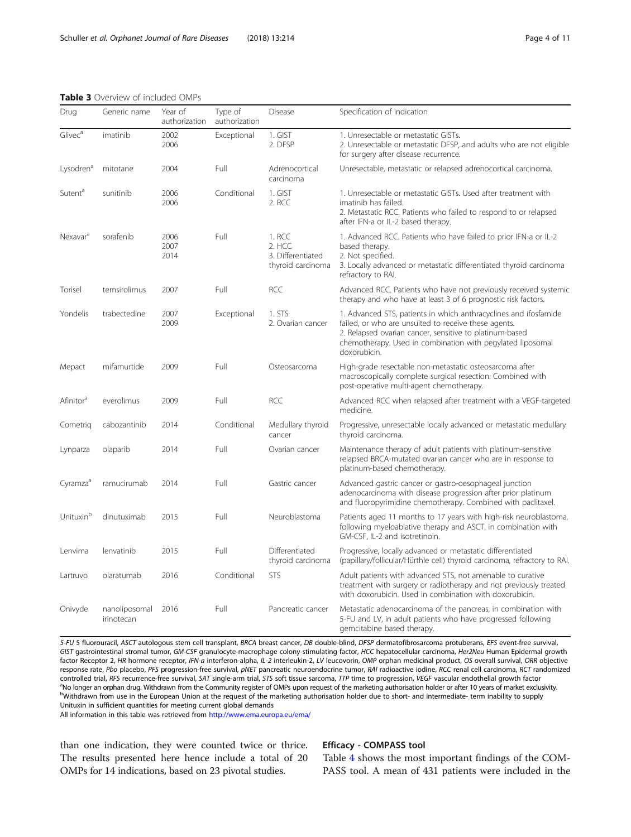<span id="page-3-0"></span>Table 3 Overview of included OMPs

| Drug                  | Generic name                | Year of<br>authorization | Type of<br>authorization | <b>Disease</b>                                             | Specification of indication                                                                                                                                                                                                                                       |
|-----------------------|-----------------------------|--------------------------|--------------------------|------------------------------------------------------------|-------------------------------------------------------------------------------------------------------------------------------------------------------------------------------------------------------------------------------------------------------------------|
| Glivec <sup>a</sup>   | imatinib                    | 2002<br>2006             | Exceptional              | 1. GIST<br>2. DFSP                                         | 1. Unresectable or metastatic GISTs.<br>2. Unresectable or metastatic DFSP, and adults who are not eligible<br>for surgery after disease recurrence.                                                                                                              |
| Lysodren <sup>a</sup> | mitotane                    | 2004                     | Full                     | Adrenocortical<br>carcinoma                                | Unresectable, metastatic or relapsed adrenocortical carcinoma.                                                                                                                                                                                                    |
| Sutent <sup>a</sup>   | sunitinib                   | 2006<br>2006             | Conditional              | 1. GIST<br>2. RCC                                          | 1. Unresectable or metastatic GISTs. Used after treatment with<br>imatinib has failed.<br>2. Metastatic RCC. Patients who failed to respond to or relapsed<br>after IFN-a or IL-2 based therapy.                                                                  |
| Nexavar <sup>d</sup>  | sorafenib                   | 2006<br>2007<br>2014     | Full                     | 1. RCC<br>2. HCC<br>3. Differentiated<br>thyroid carcinoma | 1. Advanced RCC. Patients who have failed to prior IFN-a or IL-2<br>based therapy.<br>2. Not specified.<br>3. Locally advanced or metastatic differentiated thyroid carcinoma<br>refractory to RAI.                                                               |
| Torisel               | temsirolimus                | 2007                     | Full                     | <b>RCC</b>                                                 | Advanced RCC. Patients who have not previously received systemic<br>therapy and who have at least 3 of 6 prognostic risk factors.                                                                                                                                 |
| Yondelis              | trabectedine                | 2007<br>2009             | Exceptional              | 1. STS<br>2. Ovarian cancer                                | 1. Advanced STS, patients in which anthracyclines and ifosfamide<br>failed, or who are unsuited to receive these agents.<br>2. Relapsed ovarian cancer, sensitive to platinum-based<br>chemotherapy. Used in combination with pegylated liposomal<br>doxorubicin. |
| Mepact                | mifamurtide                 | 2009                     | Full                     | Osteosarcoma                                               | High-grade resectable non-metastatic osteosarcoma after<br>macroscopically complete surgical resection. Combined with<br>post-operative multi-agent chemotherapy.                                                                                                 |
| Afinitor <sup>a</sup> | everolimus                  | 2009                     | Full                     | <b>RCC</b>                                                 | Advanced RCC when relapsed after treatment with a VEGF-targeted<br>medicine.                                                                                                                                                                                      |
| Cometrig              | cabozantinib                | 2014                     | Conditional              | Medullary thyroid<br>cancer                                | Progressive, unresectable locally advanced or metastatic medullary<br>thyroid carcinoma.                                                                                                                                                                          |
| Lynparza              | olaparib                    | 2014                     | Full                     | Ovarian cancer                                             | Maintenance therapy of adult patients with platinum-sensitive<br>relapsed BRCA-mutated ovarian cancer who are in response to<br>platinum-based chemotherapy.                                                                                                      |
| Cyramza <sup>a</sup>  | ramucirumab                 | 2014                     | Full                     | Gastric cancer                                             | Advanced gastric cancer or gastro-oesophageal junction<br>adenocarcinoma with disease progression after prior platinum<br>and fluoropyrimidine chemotherapy. Combined with paclitaxel.                                                                            |
| Unituxin <sup>b</sup> | dinutuximab                 | 2015                     | Full                     | Neuroblastoma                                              | Patients aged 11 months to 17 years with high-risk neuroblastoma,<br>following myeloablative therapy and ASCT, in combination with<br>GM-CSF, IL-2 and isotretinoin.                                                                                              |
| Lenvima               | lenvatinib                  | 2015                     | Full                     | Differentiated<br>thyroid carcinoma                        | Progressive, locally advanced or metastatic differentiated<br>(papillary/follicular/Hürthle cell) thyroid carcinoma, refractory to RAI.                                                                                                                           |
| Lartruvo              | olaratumab                  | 2016                     | Conditional              | <b>STS</b>                                                 | Adult patients with advanced STS, not amenable to curative<br>treatment with surgery or radiotherapy and not previously treated<br>with doxorubicin. Used in combination with doxorubicin.                                                                        |
| Onivyde               | nanoliposomal<br>irinotecan | 2016                     | Full                     | Pancreatic cancer                                          | Metastatic adenocarcinoma of the pancreas, in combination with<br>5-FU and LV, in adult patients who have progressed following<br>gemcitabine based therapy.                                                                                                      |

5-FU 5 fluorouracil, ASCT autologous stem cell transplant, BRCA breast cancer, DB double-blind, DFSP dermatofibrosarcoma protuberans, EFS event-free survival, GIST gastrointestinal stromal tumor, GM-CSF granulocyte-macrophage colony-stimulating factor, HCC hepatocellular carcinoma, Her2Neu Human Epidermal growth factor Receptor 2, HR hormone receptor, IFN-a interferon-alpha, IL-2 interleukin-2, LV leucovorin, OMP orphan medicinal product, OS overall survival, ORR objective response rate, Pbo placebo, PFS progression-free survival, pNET pancreatic neuroendocrine tumor, RAI radioactive iodine, RCC renal cell carcinoma, RCT randomized controlled trial, RFS recurrence-free survival, SAT single-arm trial, STS soft tissue sarcoma, TTP time to progression, VEGF vascular endothelial growth factor <sup>a</sup>No longer an orphan drug. Withdrawn from the Community register of OMPs upon request of the marketing authorisation holder or after 10 years of market exclusivity. bWithdrawn from use in the European Union at the request of the marketing authorisation holder due to short- and intermediate- term inability to supply Unituxin in sufficient quantities for meeting current global demands

All information in this table was retrieved from <http://www.ema.europa.eu/ema/>

than one indication, they were counted twice or thrice. The results presented here hence include a total of 20 OMPs for 14 indications, based on 23 pivotal studies.

# Efficacy - COMPASS tool

Table [4](#page-4-0) shows the most important findings of the COM-PASS tool. A mean of 431 patients were included in the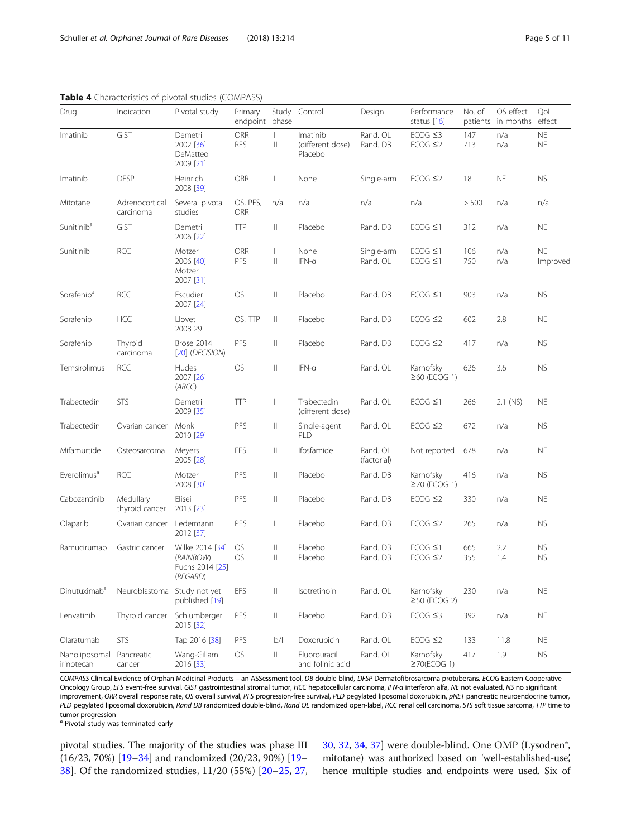## <span id="page-4-0"></span>Table 4 Characteristics of pivotal studies (COMPASS)

| Drug                        | Indication                  | Pivotal study                                               | Primary<br>endpoint phase |                                                                                                                                                                                                                                                                                                                                                                                                                                   | Study Control                           | Design                  | Performance<br>status [16]      | No. of<br>patients | OS effect<br>in months | QoL<br>effect          |
|-----------------------------|-----------------------------|-------------------------------------------------------------|---------------------------|-----------------------------------------------------------------------------------------------------------------------------------------------------------------------------------------------------------------------------------------------------------------------------------------------------------------------------------------------------------------------------------------------------------------------------------|-----------------------------------------|-------------------------|---------------------------------|--------------------|------------------------|------------------------|
| Imatinib                    | GIST                        | Demetri<br>2002 [36]<br>DeMatteo<br>2009 [21]               | <b>ORR</b><br><b>RFS</b>  | $\vert\vert$<br>$\ensuremath{\mathsf{III}}\xspace$                                                                                                                                                                                                                                                                                                                                                                                | Imatinib<br>(different dose)<br>Placebo | Rand. OL<br>Rand. DB    | $ECOG \leq 3$<br>$ECOG \leq 2$  | 147<br>713         | n/a<br>n/a             | <b>NE</b><br><b>NE</b> |
| Imatinib                    | <b>DFSP</b>                 | Heinrich<br>2008 [39]                                       | ORR                       | $\label{eq:1} \prod_{i=1}^n \alpha_i \, \prod_{i=1}^n \alpha_i \, \prod_{i=1}^n \alpha_i \, \prod_{i=1}^n \alpha_i \, \prod_{i=1}^n \alpha_i \, \prod_{i=1}^n \alpha_i \, \prod_{i=1}^n \alpha_i \, \prod_{i=1}^n \alpha_i \, \prod_{i=1}^n \alpha_i \, \prod_{i=1}^n \alpha_i \, \prod_{i=1}^n \alpha_i \, \prod_{i=1}^n \alpha_i \, \prod_{i=1}^n \alpha_i \, \prod_{i=1}^n \alpha_i \, \prod_{i=1}^n \alpha_i \, \prod_{$      | None                                    | Single-arm              | $ECOG \leq 2$                   | 18                 | <b>NE</b>              | <b>NS</b>              |
| Mitotane                    | Adrenocortical<br>carcinoma | Several pivotal<br>studies                                  | OS, PFS,<br>ORR           | n/a                                                                                                                                                                                                                                                                                                                                                                                                                               | n/a                                     | n/a                     | n/a                             | > 500              | n/a                    | n/a                    |
| Sunitinib <sup>d</sup>      | <b>GIST</b>                 | Demetri<br>2006 [22]                                        | <b>TTP</b>                | Ш                                                                                                                                                                                                                                                                                                                                                                                                                                 | Placebo                                 | Rand. DB                | $ECOG \leq 1$                   | 312                | n/a                    | <b>NE</b>              |
| Sunitinib                   | <b>RCC</b>                  | Motzer<br>2006 [40]<br>Motzer<br>2007 [31]                  | <b>ORR</b><br>PFS         | $\label{eq:1} \prod_{i=1}^n \alpha_i \, \prod_{i=1}^n \alpha_i \, \prod_{i=1}^n \alpha_i \, \prod_{i=1}^n \alpha_i \, \prod_{i=1}^n \alpha_i \, \prod_{i=1}^n \alpha_i \, \prod_{i=1}^n \alpha_i \, \prod_{i=1}^n \alpha_i \, \prod_{i=1}^n \alpha_i \, \prod_{i=1}^n \alpha_i \, \prod_{i=1}^n \alpha_i \, \prod_{i=1}^n \alpha_i \, \prod_{i=1}^n \alpha_i \, \prod_{i=1}^n \alpha_i \, \prod_{i=1}^n \alpha_i \, \prod_{$<br>Ш | None<br>$IFN-\alpha$                    | Single-arm<br>Rand. OL  | $ECOG \leq 1$<br>$ECOG \leq 1$  | 106<br>750         | n/a<br>n/a             | <b>NE</b><br>Improved  |
| Sorafenib <sup>a</sup>      | <b>RCC</b>                  | Escudier<br>2007 [24]                                       | <b>OS</b>                 | Ш                                                                                                                                                                                                                                                                                                                                                                                                                                 | Placebo                                 | Rand. DB                | $ECOG \leq 1$                   | 903                | n/a                    | <b>NS</b>              |
| Sorafenib                   | <b>HCC</b>                  | Llovet<br>2008 29                                           | OS, TTP                   | $\  \ $                                                                                                                                                                                                                                                                                                                                                                                                                           | Placebo                                 | Rand. DB                | $ECOG \leq 2$                   | 602                | 2.8                    | <b>NE</b>              |
| Sorafenib                   | Thyroid<br>carcinoma        | Brose 2014<br>$[20]$ (DECISION)                             | PFS                       | $\begin{array}{c} \hline \end{array}$                                                                                                                                                                                                                                                                                                                                                                                             | Placebo                                 | Rand. DB                | $ECOG \leq 2$                   | 417                | n/a                    | <b>NS</b>              |
| Temsirolimus                | <b>RCC</b>                  | Hudes<br>2007 [26]<br>(ARCC)                                | <b>OS</b>                 | $\begin{array}{c} \hline \end{array}$                                                                                                                                                                                                                                                                                                                                                                                             | $IFN-\alpha$                            | Rand. OL                | Karnofsky<br>$\geq$ 60 (ECOG 1) | 626                | 3.6                    | <b>NS</b>              |
| Trabectedin                 | <b>STS</b>                  | Demetri<br>2009 [35]                                        | <b>TTP</b>                | $\label{eq:1} \prod_{i=1}^n \alpha_i = \prod_{i=1}^n \alpha_i$                                                                                                                                                                                                                                                                                                                                                                    | Trabectedin<br>(different dose)         | Rand. OL                | $ECOG \leq 1$                   | 266                | $2.1$ (NS)             | <b>NE</b>              |
| Trabectedin                 | Ovarian cancer              | Monk<br>2010 [29]                                           | PFS                       | $\begin{array}{c} \hline \end{array}$                                                                                                                                                                                                                                                                                                                                                                                             | Single-agent<br>PLD                     | Rand. OL                | $ECOG \leq 2$                   | 672                | n/a                    | <b>NS</b>              |
| Mifamurtide                 | Osteosarcoma                | Meyers<br>2005 [28]                                         | EFS                       | Ш                                                                                                                                                                                                                                                                                                                                                                                                                                 | Ifosfamide                              | Rand. OL<br>(factorial) | Not reported                    | 678                | n/a                    | <b>NE</b>              |
| Everolimus <sup>a</sup>     | <b>RCC</b>                  | Motzer<br>2008 [30]                                         | PFS                       | Ш                                                                                                                                                                                                                                                                                                                                                                                                                                 | Placebo                                 | Rand. DB                | Karnofsky<br>$\geq$ 70 (ECOG 1) | 416                | n/a                    | <b>NS</b>              |
| Cabozantinib                | Medullary<br>thyroid cancer | Elisei<br>2013 [23]                                         | PFS                       | Ш                                                                                                                                                                                                                                                                                                                                                                                                                                 | Placebo                                 | Rand. DB                | $ECOG \leq 2$                   | 330                | n/a                    | <b>NE</b>              |
| Olaparib                    | Ovarian cancer              | Ledermann<br>2012 [37]                                      | PFS                       | $\label{eq:1} \prod_{i=1}^n \alpha_i \, \prod_{i=1}^n \alpha_i \, \prod_{i=1}^n \alpha_i \, \prod_{i=1}^n \alpha_i \, \prod_{i=1}^n \alpha_i \, \prod_{i=1}^n \alpha_i \, \prod_{i=1}^n \alpha_i \, \prod_{i=1}^n \alpha_i \, \prod_{i=1}^n \alpha_i \, \prod_{i=1}^n \alpha_i \, \prod_{i=1}^n \alpha_i \, \prod_{i=1}^n \alpha_i \, \prod_{i=1}^n \alpha_i \, \prod_{i=1}^n \alpha_i \, \prod_{i=1}^n \alpha_i \, \prod_{$      | Placebo                                 | Rand. DB                | $ECOG \leq 2$                   | 265                | n/a                    | <b>NS</b>              |
| Ramucirumab                 | Gastric cancer              | Wilke 2014 [34]<br>(RAINBOW)<br>Fuchs 2014 [25]<br>(REGARD) | OS<br><b>OS</b>           | Ш<br>Ш                                                                                                                                                                                                                                                                                                                                                                                                                            | Placebo<br>Placebo                      | Rand. DB<br>Rand. DB    | $ECOG \leq 1$<br>$ECOG \leq 2$  | 665<br>355         | 2.2<br>1.4             | <b>NS</b><br><b>NS</b> |
| Dinutuximab <sup>a</sup>    | Neuroblastoma               | Study not yet<br>published [19]                             | EFS                       | $\  \ $                                                                                                                                                                                                                                                                                                                                                                                                                           | Isotretinoin                            | Rand. OL                | Karnofsky<br>$\geq$ 50 (ECOG 2) | 230                | n/a                    | <b>NE</b>              |
| Lenvatinib                  | Thyroid cancer              | Schlumberger<br>2015 [32]                                   | PFS                       | $\  \ $                                                                                                                                                                                                                                                                                                                                                                                                                           | Placebo                                 | Rand. DB                | $ECOG \leq 3$                   | 392                | n/a                    | <b>NE</b>              |
| Olaratumab                  | <b>STS</b>                  | Tap 2016 [38]                                               | PFS                       | b/                                                                                                                                                                                                                                                                                                                                                                                                                                | Doxorubicin                             | Rand. OL                | $ECOG \leq 2$                   | 133                | 11.8                   | <b>NE</b>              |
| Nanoliposomal<br>irinotecan | Pancreatic<br>cancer        | Wang-Gillam<br>2016 [33]                                    | OS                        | Ш                                                                                                                                                                                                                                                                                                                                                                                                                                 | Fluorouracil<br>and folinic acid        | Rand. OL                | Karnofsky<br>$\geq$ 70(ECOG 1)  | 417                | 1.9                    | <b>NS</b>              |

COMPASS Clinical Evidence of Orphan Medicinal Products – an ASSessment tool, DB double-blind, DFSP Dermatofibrosarcoma protuberans, ECOG Eastern Cooperative Oncology Group, EFS event-free survival, GIST gastrointestinal stromal tumor, HCC hepatocellular carcinoma, IFN-α interferon alfa, NE not evaluated, NS no significant improvement, ORR overall response rate, OS overall survival, PFS progression-free survival, PLD pegylated liposomal doxorubicin, pNET pancreatic neuroendocrine tumor, PLD pegylated liposomal doxorubicin, Rand DB randomized double-blind, Rand OL randomized open-label, RCC renal cell carcinoma, STS soft tissue sarcoma, TTP time to tumor progression

<sup>a</sup> Pivotal study was terminated early

pivotal studies. The majority of the studies was phase III (16/23, 70%) [[19](#page-10-0)–[34\]](#page-10-0) and randomized (20/23, 90%) [[19](#page-10-0)– [38\]](#page-10-0). Of the randomized studies, 11/20 (55%) [\[20](#page-10-0)–[25](#page-10-0), [27](#page-10-0),

[30,](#page-10-0) [32,](#page-10-0) [34,](#page-10-0) [37\]](#page-10-0) were double-blind. One OMP (Lysodren®, mitotane) was authorized based on 'well-established-use', hence multiple studies and endpoints were used. Six of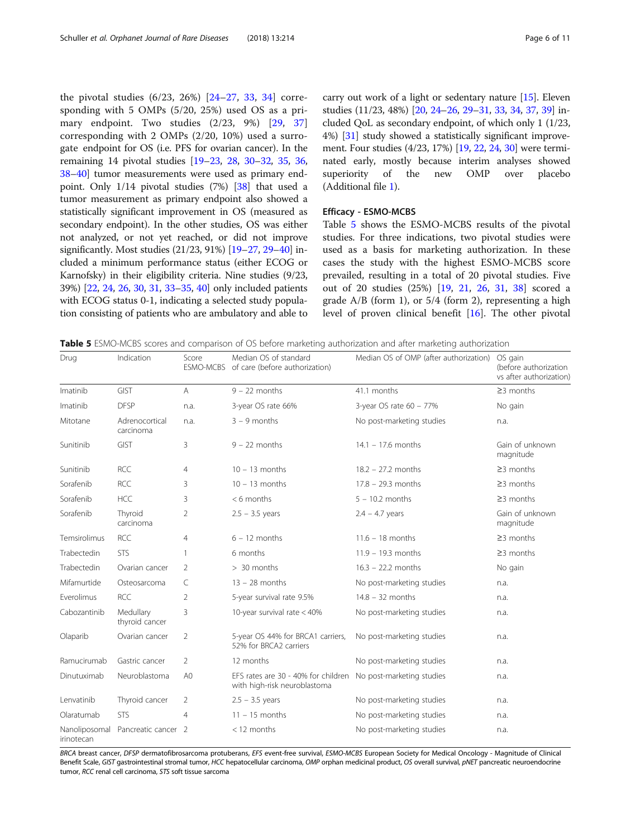<span id="page-5-0"></span>the pivotal studies (6/23, 26%) [[24](#page-10-0)–[27,](#page-10-0) [33](#page-10-0), [34](#page-10-0)] corresponding with 5 OMPs (5/20, 25%) used OS as a primary endpoint. Two studies (2/23, 9%) [[29,](#page-10-0) [37](#page-10-0)] corresponding with 2 OMPs (2/20, 10%) used a surrogate endpoint for OS (i.e. PFS for ovarian cancer). In the remaining 14 pivotal studies [[19](#page-10-0)–[23,](#page-10-0) [28](#page-10-0), [30](#page-10-0)–[32,](#page-10-0) [35](#page-10-0), [36](#page-10-0), [38](#page-10-0)–[40\]](#page-10-0) tumor measurements were used as primary endpoint. Only 1/14 pivotal studies (7%) [[38](#page-10-0)] that used a tumor measurement as primary endpoint also showed a statistically significant improvement in OS (measured as secondary endpoint). In the other studies, OS was either not analyzed, or not yet reached, or did not improve significantly. Most studies (21/23, 91%) [[19](#page-10-0)–[27,](#page-10-0) [29](#page-10-0)–[40](#page-10-0)] included a minimum performance status (either ECOG or Karnofsky) in their eligibility criteria. Nine studies (9/23, 39%) [\[22,](#page-10-0) [24,](#page-10-0) [26](#page-10-0), [30,](#page-10-0) [31,](#page-10-0) [33](#page-10-0)–[35,](#page-10-0) [40](#page-10-0)] only included patients with ECOG status 0-1, indicating a selected study population consisting of patients who are ambulatory and able to carry out work of a light or sedentary nature [\[15\]](#page-9-0). Eleven studies (11/23, 48%) [[20,](#page-10-0) [24](#page-10-0)–[26,](#page-10-0) [29](#page-10-0)–[31,](#page-10-0) [33,](#page-10-0) [34,](#page-10-0) [37](#page-10-0), [39\]](#page-10-0) included QoL as secondary endpoint, of which only 1 (1/23, 4%) [\[31\]](#page-10-0) study showed a statistically significant improvement. Four studies (4/23, 17%) [\[19,](#page-10-0) [22](#page-10-0), [24,](#page-10-0) [30\]](#page-10-0) were terminated early, mostly because interim analyses showed superiority of the new OMP over placebo (Additional file [1](#page-9-0)).

## Efficacy - ESMO-MCBS

Table 5 shows the ESMO-MCBS results of the pivotal studies. For three indications, two pivotal studies were used as a basis for marketing authorization. In these cases the study with the highest ESMO-MCBS score prevailed, resulting in a total of 20 pivotal studies. Five out of 20 studies (25%) [\[19,](#page-10-0) [21](#page-10-0), [26](#page-10-0), [31](#page-10-0), [38](#page-10-0)] scored a grade A/B (form 1), or 5/4 (form 2), representing a high level of proven clinical benefit [[16](#page-9-0)]. The other pivotal

Table 5 ESMO-MCBS scores and comparison of OS before marketing authorization and after marketing authorization

| Drug                        | Indication                  | Score<br>ESMO-MCBS | Median OS of standard<br>of care (before authorization)             | Median OS of OMP (after authorization) | OS gain<br>(before authorization<br>vs after authorization) |
|-----------------------------|-----------------------------|--------------------|---------------------------------------------------------------------|----------------------------------------|-------------------------------------------------------------|
| Imatinib                    | <b>GIST</b>                 | $\overline{A}$     | $9 - 22$ months                                                     | 41.1 months                            | $\geq$ 3 months                                             |
| Imatinib                    | <b>DFSP</b>                 | n.a.               | 3-year OS rate 66%                                                  | 3-year OS rate $60 - 77\%$             | No gain                                                     |
| Mitotane                    | Adrenocortical<br>carcinoma | n.a.               | $3 - 9$ months                                                      | No post-marketing studies              | n.a.                                                        |
| Sunitinib                   | GIST                        | 3                  | $9 - 22$ months                                                     | $14.1 - 17.6$ months                   | Gain of unknown<br>magnitude                                |
| Sunitinib                   | <b>RCC</b>                  | 4                  | $10 - 13$ months                                                    | $18.2 - 27.2$ months                   | $\geq$ 3 months                                             |
| Sorafenib                   | <b>RCC</b>                  | 3                  | $10 - 13$ months                                                    | $17.8 - 29.3$ months                   | $\geq$ 3 months                                             |
| Sorafenib                   | <b>HCC</b>                  | 3                  | $< 6$ months                                                        | $5 - 10.2$ months                      | $\geq$ 3 months                                             |
| Sorafenib                   | Thvroid<br>carcinoma        | $\overline{2}$     | $2.5 - 3.5$ years                                                   | $2.4 - 4.7$ years                      | Gain of unknown<br>magnitude                                |
| Temsirolimus                | <b>RCC</b>                  | $\overline{4}$     | $6 - 12$ months                                                     | $11.6 - 18$ months                     | $\geq$ 3 months                                             |
| Trabectedin                 | <b>STS</b>                  | 1                  | 6 months                                                            | $11.9 - 19.3$ months                   | $\geq$ 3 months                                             |
| Trabectedin                 | Ovarian cancer              | $\mathcal{P}$      | $> 30$ months                                                       | $16.3 - 22.2$ months                   | No gain                                                     |
| Mifamurtide                 | Osteosarcoma                | $\subset$          | $13 - 28$ months                                                    | No post-marketing studies              | n.a.                                                        |
| Everolimus                  | <b>RCC</b>                  | $\overline{2}$     | 5-year survival rate 9.5%                                           | $14.8 - 32$ months                     | n.a.                                                        |
| Cabozantinib                | Medullary<br>thyroid cancer | 3                  | 10-year survival rate < 40%                                         | No post-marketing studies              | n.a.                                                        |
| Olaparib                    | Ovarian cancer              | $\overline{2}$     | 5-year OS 44% for BRCA1 carriers,<br>52% for BRCA2 carriers         | No post-marketing studies              | n.a.                                                        |
| Ramucirumab                 | Gastric cancer              | 2                  | 12 months                                                           | No post-marketing studies              | n.a.                                                        |
| Dinutuximab                 | Neuroblastoma               | A <sub>0</sub>     | EFS rates are 30 - 40% for children<br>with high-risk neuroblastoma | No post-marketing studies              | n.a.                                                        |
| Lenvatinib                  | Thyroid cancer              | $\overline{2}$     | $2.5 - 3.5$ years                                                   | No post-marketing studies              | n.a.                                                        |
| Olaratumab                  | <b>STS</b>                  | $\overline{4}$     | $11 - 15$ months                                                    | No post-marketing studies              | n.a.                                                        |
| Nanoliposomal<br>irinotecan | Pancreatic cancer 2         |                    | < 12 months                                                         | No post-marketing studies              | n.a.                                                        |

BRCA breast cancer, DFSP dermatofibrosarcoma protuberans, EFS event-free survival, ESMO-MCBS European Society for Medical Oncology - Magnitude of Clinical Benefit Scale, GIST gastrointestinal stromal tumor, HCC hepatocellular carcinoma, OMP orphan medicinal product, OS overall survival, pNET pancreatic neuroendocrine tumor, RCC renal cell carcinoma, STS soft tissue sarcoma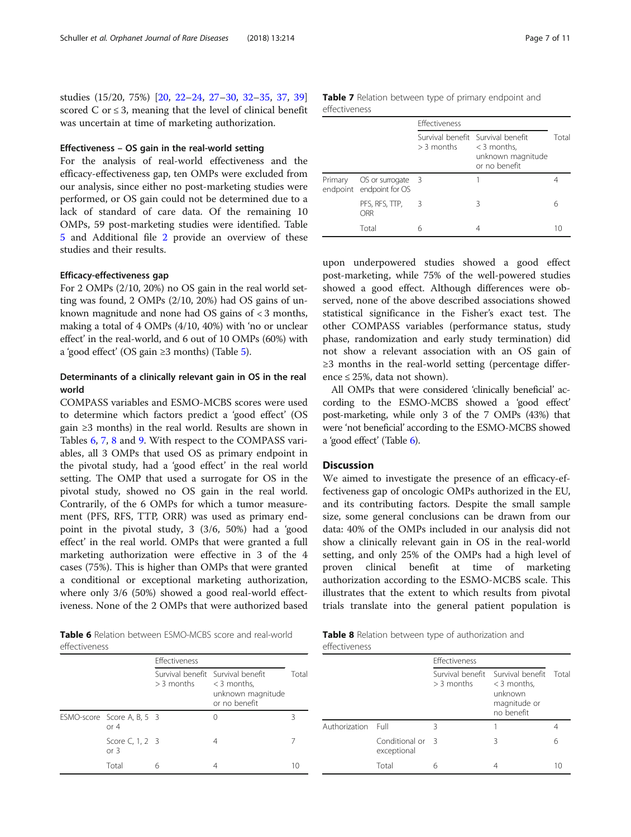studies (15/20, 75%) [\[20](#page-10-0), [22](#page-10-0)–[24](#page-10-0), [27](#page-10-0)–[30,](#page-10-0) [32](#page-10-0)–[35,](#page-10-0) [37](#page-10-0), [39](#page-10-0)] scored C or  $\leq$  3, meaning that the level of clinical benefit was uncertain at time of marketing authorization.

# Effectiveness – OS gain in the real-world setting

For the analysis of real-world effectiveness and the efficacy-effectiveness gap, ten OMPs were excluded from our analysis, since either no post-marketing studies were performed, or OS gain could not be determined due to a lack of standard of care data. Of the remaining 10 OMPs, 59 post-marketing studies were identified. Table [5](#page-5-0) and Additional file [2](#page-9-0) provide an overview of these studies and their results.

## Efficacy-effectiveness gap

For 2 OMPs (2/10, 20%) no OS gain in the real world setting was found, 2 OMPs (2/10, 20%) had OS gains of unknown magnitude and none had OS gains of < 3 months, making a total of 4 OMPs (4/10, 40%) with 'no or unclear effect' in the real-world, and 6 out of 10 OMPs (60%) with a 'good effect' (OS gain ≥3 months) (Table [5](#page-5-0)).

# Determinants of a clinically relevant gain in OS in the real world

COMPASS variables and ESMO-MCBS scores were used to determine which factors predict a 'good effect' (OS gain ≥3 months) in the real world. Results are shown in Tables 6, 7, 8 and [9.](#page-7-0) With respect to the COMPASS variables, all 3 OMPs that used OS as primary endpoint in the pivotal study, had a 'good effect' in the real world setting. The OMP that used a surrogate for OS in the pivotal study, showed no OS gain in the real world. Contrarily, of the 6 OMPs for which a tumor measurement (PFS, RFS, TTP, ORR) was used as primary endpoint in the pivotal study, 3 (3/6, 50%) had a 'good effect' in the real world. OMPs that were granted a full marketing authorization were effective in 3 of the 4 cases (75%). This is higher than OMPs that were granted a conditional or exceptional marketing authorization, where only 3/6 (50%) showed a good real-world effectiveness. None of the 2 OMPs that were authorized based

## Table 7 Relation between type of primary endpoint and effectiveness

|         |                                             | <b>Effectiveness</b> |                                                                                          |       |
|---------|---------------------------------------------|----------------------|------------------------------------------------------------------------------------------|-------|
|         |                                             | $>$ 3 months         | Survival benefit Survival benefit<br>$<$ 3 months,<br>unknown magnitude<br>or no benefit | Total |
| Primary | OS or surrogate<br>endpoint endpoint for OS | - 3                  |                                                                                          |       |
|         | PFS, RFS, TTP,<br>ORR                       | 3                    | 3                                                                                        | 6     |
|         | Total                                       | 6                    |                                                                                          |       |

upon underpowered studies showed a good effect post-marketing, while 75% of the well-powered studies showed a good effect. Although differences were observed, none of the above described associations showed statistical significance in the Fisher's exact test. The other COMPASS variables (performance status, study phase, randomization and early study termination) did not show a relevant association with an OS gain of ≥3 months in the real-world setting (percentage difference  $\leq$  25%, data not shown).

All OMPs that were considered 'clinically beneficial' according to the ESMO-MCBS showed a 'good effect' post-marketing, while only 3 of the 7 OMPs (43%) that were 'not beneficial' according to the ESMO-MCBS showed a 'good effect' (Table 6).

#### **Discussion**

We aimed to investigate the presence of an efficacy-effectiveness gap of oncologic OMPs authorized in the EU, and its contributing factors. Despite the small sample size, some general conclusions can be drawn from our data: 40% of the OMPs included in our analysis did not show a clinically relevant gain in OS in the real-world setting, and only 25% of the OMPs had a high level of proven clinical benefit at time of marketing authorization according to the ESMO-MCBS scale. This illustrates that the extent to which results from pivotal trials translate into the general patient population is

Table 6 Relation between ESMO-MCBS score and real-world effectiveness

|               |  |  | <b>Table 8</b> Relation between type of authorization and |  |
|---------------|--|--|-----------------------------------------------------------|--|
| effectiveness |  |  |                                                           |  |

| CHLCCUVCHCJJ |                                      |                                                                                                       |   |       |  |  |  |
|--------------|--------------------------------------|-------------------------------------------------------------------------------------------------------|---|-------|--|--|--|
|              |                                      | <b>Effectiveness</b>                                                                                  |   |       |  |  |  |
|              |                                      | Survival benefit Survival benefit<br>$>$ 3 months $<$ 3 months,<br>unknown magnitude<br>or no benefit |   | Total |  |  |  |
|              | ESMO-score Score A, B, 5 3<br>or $4$ |                                                                                                       |   | R     |  |  |  |
|              | Score C, 1, 2 3<br>or $3$            |                                                                                                       | 4 |       |  |  |  |
|              | Total                                |                                                                                                       |   | 10    |  |  |  |

| CHICCHYCHLUS  |                                 |                                  |                                                                                  |    |  |  |  |  |
|---------------|---------------------------------|----------------------------------|----------------------------------------------------------------------------------|----|--|--|--|--|
|               |                                 | Effectiveness                    |                                                                                  |    |  |  |  |  |
|               |                                 | Survival benefit<br>$>$ 3 months | Survival benefit Total<br>$<$ 3 months,<br>unknown<br>magnitude or<br>no benefit |    |  |  |  |  |
| Authorization | Full                            | 3                                |                                                                                  |    |  |  |  |  |
|               | Conditional or 3<br>exceptional |                                  | 3                                                                                | 6  |  |  |  |  |
|               | Total                           | 6                                |                                                                                  | 10 |  |  |  |  |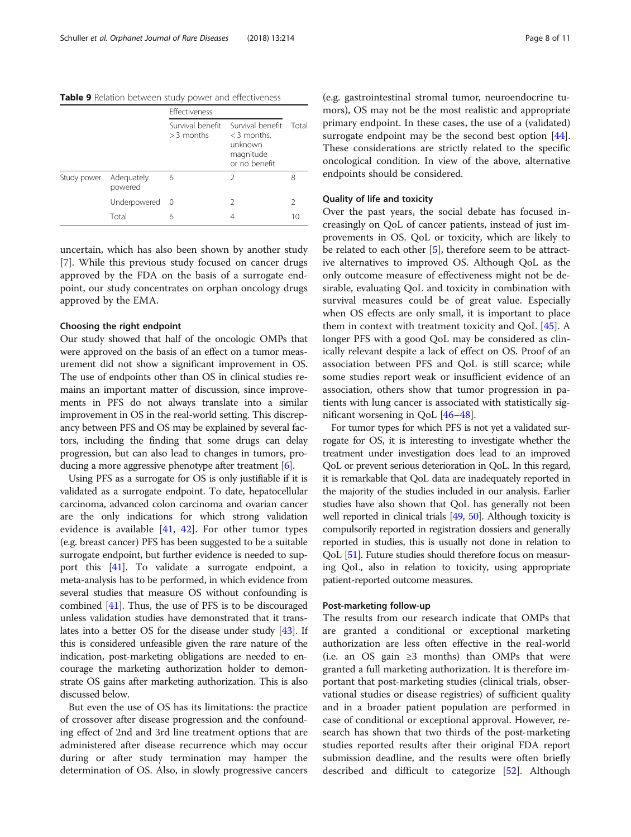<span id="page-7-0"></span>Table 9 Relation between study power and effectiveness

|             |                       | Effectiveness                    |                                                                            |       |
|-------------|-----------------------|----------------------------------|----------------------------------------------------------------------------|-------|
|             |                       | Survival benefit<br>$>$ 3 months | Survival benefit<br>$<$ 3 months,<br>unknown<br>magnitude<br>or no benefit | Total |
| Study power | Adequately<br>powered | 6                                | 2                                                                          | 8     |
|             | Underpowered 0        |                                  | 2                                                                          | 2     |
|             | Total                 | 6                                | 4                                                                          | 10    |

uncertain, which has also been shown by another study [[7\]](#page-9-0). While this previous study focused on cancer drugs approved by the FDA on the basis of a surrogate endpoint, our study concentrates on orphan oncology drugs approved by the EMA.

#### Choosing the right endpoint

Our study showed that half of the oncologic OMPs that were approved on the basis of an effect on a tumor measurement did not show a significant improvement in OS. The use of endpoints other than OS in clinical studies remains an important matter of discussion, since improvements in PFS do not always translate into a similar improvement in OS in the real-world setting. This discrepancy between PFS and OS may be explained by several factors, including the finding that some drugs can delay progression, but can also lead to changes in tumors, producing a more aggressive phenotype after treatment [\[6](#page-9-0)].

Using PFS as a surrogate for OS is only justifiable if it is validated as a surrogate endpoint. To date, hepatocellular carcinoma, advanced colon carcinoma and ovarian cancer are the only indications for which strong validation evidence is available [[41,](#page-10-0) [42\]](#page-10-0). For other tumor types (e.g. breast cancer) PFS has been suggested to be a suitable surrogate endpoint, but further evidence is needed to support this [[41](#page-10-0)]. To validate a surrogate endpoint, a meta-analysis has to be performed, in which evidence from several studies that measure OS without confounding is combined [[41](#page-10-0)]. Thus, the use of PFS is to be discouraged unless validation studies have demonstrated that it translates into a better OS for the disease under study [\[43\]](#page-10-0). If this is considered unfeasible given the rare nature of the indication, post-marketing obligations are needed to encourage the marketing authorization holder to demonstrate OS gains after marketing authorization. This is also discussed below.

But even the use of OS has its limitations: the practice of crossover after disease progression and the confounding effect of 2nd and 3rd line treatment options that are administered after disease recurrence which may occur during or after study termination may hamper the determination of OS. Also, in slowly progressive cancers

(e.g. gastrointestinal stromal tumor, neuroendocrine tumors), OS may not be the most realistic and appropriate primary endpoint. In these cases, the use of a (validated) surrogate endpoint may be the second best option [\[44](#page-10-0)]. These considerations are strictly related to the specific oncological condition. In view of the above, alternative endpoints should be considered.

#### Quality of life and toxicity

Over the past years, the social debate has focused increasingly on QoL of cancer patients, instead of just improvements in OS. QoL or toxicity, which are likely to be related to each other  $[5]$  $[5]$ , therefore seem to be attractive alternatives to improved OS. Although QoL as the only outcome measure of effectiveness might not be desirable, evaluating QoL and toxicity in combination with survival measures could be of great value. Especially when OS effects are only small, it is important to place them in context with treatment toxicity and QoL [\[45](#page-10-0)]. A longer PFS with a good QoL may be considered as clinically relevant despite a lack of effect on OS. Proof of an association between PFS and QoL is still scarce; while some studies report weak or insufficient evidence of an association, others show that tumor progression in patients with lung cancer is associated with statistically significant worsening in QoL [[46](#page-10-0)–[48](#page-10-0)].

For tumor types for which PFS is not yet a validated surrogate for OS, it is interesting to investigate whether the treatment under investigation does lead to an improved QoL or prevent serious deterioration in QoL. In this regard, it is remarkable that QoL data are inadequately reported in the majority of the studies included in our analysis. Earlier studies have also shown that QoL has generally not been well reported in clinical trials [[49,](#page-10-0) [50\]](#page-10-0). Although toxicity is compulsorily reported in registration dossiers and generally reported in studies, this is usually not done in relation to QoL [\[51\]](#page-10-0). Future studies should therefore focus on measuring QoL, also in relation to toxicity, using appropriate patient-reported outcome measures.

#### Post-marketing follow-up

The results from our research indicate that OMPs that are granted a conditional or exceptional marketing authorization are less often effective in the real-world (i.e. an OS gain ≥3 months) than OMPs that were granted a full marketing authorization. It is therefore important that post-marketing studies (clinical trials, observational studies or disease registries) of sufficient quality and in a broader patient population are performed in case of conditional or exceptional approval. However, research has shown that two thirds of the post-marketing studies reported results after their original FDA report submission deadline, and the results were often briefly described and difficult to categorize [[52\]](#page-10-0). Although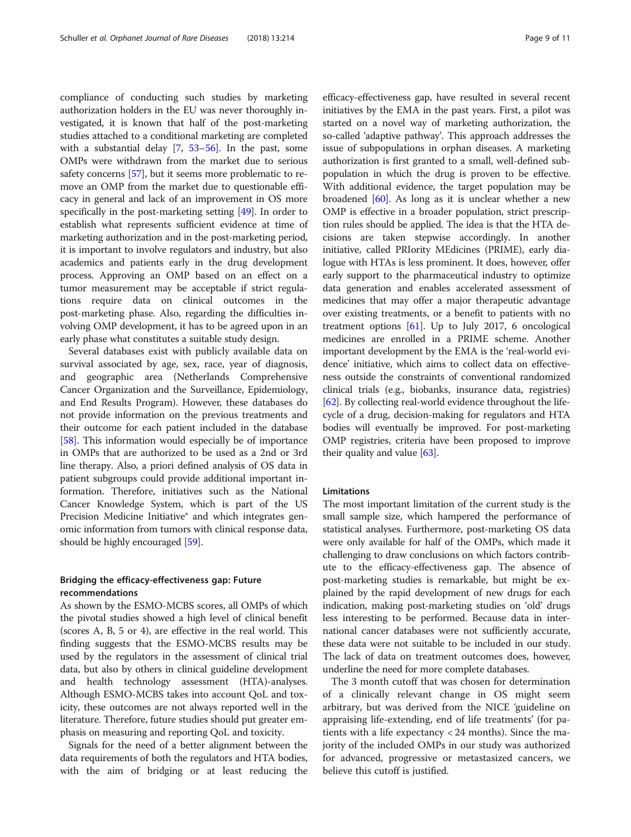compliance of conducting such studies by marketing authorization holders in the EU was never thoroughly investigated, it is known that half of the post-marketing studies attached to a conditional marketing are completed with a substantial delay [\[7,](#page-9-0) [53](#page-10-0)–[56](#page-10-0)]. In the past, some OMPs were withdrawn from the market due to serious safety concerns [\[57\]](#page-10-0), but it seems more problematic to remove an OMP from the market due to questionable efficacy in general and lack of an improvement in OS more specifically in the post-marketing setting [\[49](#page-10-0)]. In order to establish what represents sufficient evidence at time of marketing authorization and in the post-marketing period, it is important to involve regulators and industry, but also academics and patients early in the drug development process. Approving an OMP based on an effect on a tumor measurement may be acceptable if strict regulations require data on clinical outcomes in the post-marketing phase. Also, regarding the difficulties involving OMP development, it has to be agreed upon in an early phase what constitutes a suitable study design.

Several databases exist with publicly available data on survival associated by age, sex, race, year of diagnosis, and geographic area (Netherlands Comprehensive Cancer Organization and the Surveillance, Epidemiology, and End Results Program). However, these databases do not provide information on the previous treatments and their outcome for each patient included in the database [[58](#page-10-0)]. This information would especially be of importance in OMPs that are authorized to be used as a 2nd or 3rd line therapy. Also, a priori defined analysis of OS data in patient subgroups could provide additional important information. Therefore, initiatives such as the National Cancer Knowledge System, which is part of the US Precision Medicine Initiative® and which integrates genomic information from tumors with clinical response data, should be highly encouraged [[59\]](#page-10-0).

# Bridging the efficacy-effectiveness gap: Future recommendations

As shown by the ESMO-MCBS scores, all OMPs of which the pivotal studies showed a high level of clinical benefit (scores A, B, 5 or 4), are effective in the real world. This finding suggests that the ESMO-MCBS results may be used by the regulators in the assessment of clinical trial data, but also by others in clinical guideline development and health technology assessment (HTA)-analyses. Although ESMO-MCBS takes into account QoL and toxicity, these outcomes are not always reported well in the literature. Therefore, future studies should put greater emphasis on measuring and reporting QoL and toxicity.

Signals for the need of a better alignment between the data requirements of both the regulators and HTA bodies, with the aim of bridging or at least reducing the

efficacy-effectiveness gap, have resulted in several recent initiatives by the EMA in the past years. First, a pilot was started on a novel way of marketing authorization, the so-called 'adaptive pathway'. This approach addresses the issue of subpopulations in orphan diseases. A marketing authorization is first granted to a small, well-defined subpopulation in which the drug is proven to be effective. With additional evidence, the target population may be broadened [\[60\]](#page-10-0). As long as it is unclear whether a new OMP is effective in a broader population, strict prescription rules should be applied. The idea is that the HTA decisions are taken stepwise accordingly. In another initiative, called PRIority MEdicines (PRIME), early dialogue with HTAs is less prominent. It does, however, offer early support to the pharmaceutical industry to optimize data generation and enables accelerated assessment of medicines that may offer a major therapeutic advantage over existing treatments, or a benefit to patients with no treatment options  $[61]$  $[61]$  $[61]$ . Up to July 2017, 6 oncological medicines are enrolled in a PRIME scheme. Another important development by the EMA is the 'real-world evidence' initiative, which aims to collect data on effectiveness outside the constraints of conventional randomized clinical trials (e.g., biobanks, insurance data, registries) [[62](#page-10-0)]. By collecting real-world evidence throughout the lifecycle of a drug, decision-making for regulators and HTA bodies will eventually be improved. For post-marketing OMP registries, criteria have been proposed to improve their quality and value  $[63]$  $[63]$  $[63]$ .

## Limitations

The most important limitation of the current study is the small sample size, which hampered the performance of statistical analyses. Furthermore, post-marketing OS data were only available for half of the OMPs, which made it challenging to draw conclusions on which factors contribute to the efficacy-effectiveness gap. The absence of post-marketing studies is remarkable, but might be explained by the rapid development of new drugs for each indication, making post-marketing studies on 'old' drugs less interesting to be performed. Because data in international cancer databases were not sufficiently accurate, these data were not suitable to be included in our study. The lack of data on treatment outcomes does, however, underline the need for more complete databases.

The 3 month cutoff that was chosen for determination of a clinically relevant change in OS might seem arbitrary, but was derived from the NICE 'guideline on appraising life-extending, end of life treatments' (for patients with a life expectancy < 24 months). Since the majority of the included OMPs in our study was authorized for advanced, progressive or metastasized cancers, we believe this cutoff is justified.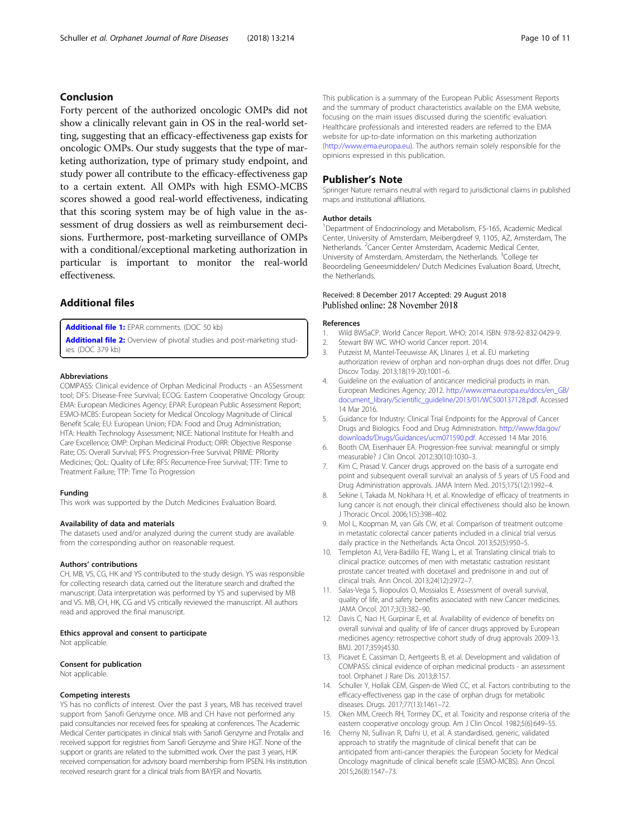# <span id="page-9-0"></span>Conclusion

Forty percent of the authorized oncologic OMPs did not show a clinically relevant gain in OS in the real-world setting, suggesting that an efficacy-effectiveness gap exists for oncologic OMPs. Our study suggests that the type of marketing authorization, type of primary study endpoint, and study power all contribute to the efficacy-effectiveness gap to a certain extent. All OMPs with high ESMO-MCBS scores showed a good real-world effectiveness, indicating that this scoring system may be of high value in the assessment of drug dossiers as well as reimbursement decisions. Furthermore, post-marketing surveillance of OMPs with a conditional/exceptional marketing authorization in particular is important to monitor the real-world effectiveness.

# Additional files

[Additional file 1:](https://doi.org/10.1186/s13023-018-0900-9) EPAR comments. (DOC 50 kb) [Additional file 2:](https://doi.org/10.1186/s13023-018-0900-9) Overview of pivotal studies and post-marketing studies. (DOC 379 kb)

#### Abbreviations

COMPASS: Clinical evidence of Orphan Medicinal Products - an ASSessment tool; DFS: Disease-Free Survival; ECOG: Eastern Cooperative Oncology Group; EMA: European Medicines Agency; EPAR: European Public Assessment Report; ESMO-MCBS: European Society for Medical Oncology Magnitude of Clinical Benefit Scale; EU: European Union; FDA: Food and Drug Administration; HTA: Health Technology Assessment; NICE: National Institute for Health and Care Excellence; OMP: Orphan Medicinal Product; ORR: Objective Response Rate; OS: Overall Survival; PFS: Progression-Free Survival; PRIME: PRIority Medicines; QoL: Quality of Life; RFS: Recurrence-Free Survival; TTF: Time to Treatment Failure; TTP: Time To Progression

#### Funding

This work was supported by the Dutch Medicines Evaluation Board.

#### Availability of data and materials

The datasets used and/or analyzed during the current study are available from the corresponding author on reasonable request.

#### Authors' contributions

CH, MB, VS, CG, HK and YS contributed to the study design. YS was responsible for collecting research data, carried out the literature search and drafted the manuscript. Data interpretation was performed by YS and supervised by MB and VS. MB, CH, HK, CG and VS critically reviewed the manuscript. All authors read and approved the final manuscript.

#### Ethics approval and consent to participate

Not applicable.

#### Consent for publication

Not applicable.

#### Competing interests

YS has no conflicts of interest. Over the past 3 years, MB has received travel support from Sanofi Genzyme once. MB and CH have not performed any paid consultancies nor received fees for speaking at conferences. The Academic Medical Center participates in clinical trials with Sanofi Genzyme and Protalix and received support for registries from Sanofi Genzyme and Shire HGT. None of the support or grants are related to the submitted work. Over the past 3 years, HJK received compensation for advisory board membership from IPSEN. His institution received research grant for a clinical trials from BAYER and Novartis.

This publication is a summary of the European Public Assessment Reports and the summary of product characteristics available on the EMA website, focusing on the main issues discussed during the scientific evaluation. Healthcare professionals and interested readers are referred to the EMA website for up-to-date information on this marketing authorization (<http://www.ema.europa.eu>). The authors remain solely responsible for the opinions expressed in this publication.

#### Publisher's Note

Springer Nature remains neutral with regard to jurisdictional claims in published maps and institutional affiliations.

#### Author details

<sup>1</sup>Department of Endocrinology and Metabolism, F5-165, Academic Medical Center, University of Amsterdam, Meibergdreef 9, 1105, AZ, Amsterdam, The Netherlands. <sup>2</sup> Cancer Center Amsterdam, Academic Medical Center University of Amsterdam, Amsterdam, the Netherlands. <sup>3</sup>College ter Beoordeling Geneesmiddelen/ Dutch Medicines Evaluation Board, Utrecht, the Netherlands.

#### Received: 8 December 2017 Accepted: 29 August 2018 Published online: 28 November 2018

#### References

- 1. Wild BWSaCP. World Cancer Report. WHO; 2014. ISBN: 978-92-832-0429-9.<br>21 Stewart RW WC WHO world Cancer report. 2014.
- 2. Stewart BW WC. WHO world Cancer report. 2014.<br>3. Putzeist M. Mantel-Teeuwisse AK Llinares Let al.
- Putzeist M, Mantel-Teeuwisse AK, Llinares J, et al. EU marketing authorization review of orphan and non-orphan drugs does not differ. Drug Discov Today. 2013;18(19-20):1001–6.
- 4. Guideline on the evaluation of anticancer medicinal products in man. European Medicines Agency; 2012. [http://www.ema.europa.eu/docs/en\\_GB/](http://www.ema.europa.eu/docs/en_GB/document_library/Scientific_guideline/2013/01/WC500137128.pdf) [document\\_library/Scientific\\_guideline/2013/01/WC500137128.pdf.](http://www.ema.europa.eu/docs/en_GB/document_library/Scientific_guideline/2013/01/WC500137128.pdf) Accessed 14 Mar 2016.
- 5. Guidance for Industry: Clinical Trial Endpoints for the Approval of Cancer Drugs and Biologics. Food and Drug Administration. [http://www.fda.gov/](http://www.fda.gov/downloads/Drugs/Guidances/ucm071590.pdf) [downloads/Drugs/Guidances/ucm071590.pdf.](http://www.fda.gov/downloads/Drugs/Guidances/ucm071590.pdf) Accessed 14 Mar 2016.
- 6. Booth CM, Eisenhauer EA. Progression-free survival: meaningful or simply measurable? J Clin Oncol. 2012;30(10):1030–3.
- 7. Kim C, Prasad V. Cancer drugs approved on the basis of a surrogate end point and subsequent overall survival: an analysis of 5 years of US Food and Drug Administration approvals. JAMA Intern Med. 2015;175(12):1992–4.
- 8. Sekine I, Takada M, Nokihara H, et al. Knowledge of efficacy of treatments in lung cancer is not enough, their clinical effectiveness should also be known. J Thoracic Oncol. 2006;1(5):398–402.
- 9. Mol L, Koopman M, van Gils CW, et al. Comparison of treatment outcome in metastatic colorectal cancer patients included in a clinical trial versus daily practice in the Netherlands. Acta Oncol. 2013;52(5):950–5.
- 10. Templeton AJ, Vera-Badillo FE, Wang L, et al. Translating clinical trials to clinical practice: outcomes of men with metastatic castration resistant prostate cancer treated with docetaxel and prednisone in and out of clinical trials. Ann Oncol. 2013;24(12):2972–7.
- 11. Salas-Vega S, Iliopoulos O, Mossialos E. Assessment of overall survival, quality of life, and safety benefits associated with new Cancer medicines. JAMA Oncol. 2017;3(3):382–90.
- 12. Davis C, Naci H, Gurpinar E, et al. Availability of evidence of benefits on overall survival and quality of life of cancer drugs approved by European medicines agency: retrospective cohort study of drug approvals 2009-13. BMJ. 2017;359:j4530.
- 13. Picavet E, Cassiman D, Aertgeerts B, et al. Development and validation of COMPASS: clinical evidence of orphan medicinal products - an assessment tool. Orphanet J Rare Dis. 2013;8:157.
- 14. Schuller Y, Hollak CEM, Gispen-de Wied CC, et al. Factors contributing to the efficacy-effectiveness gap in the case of orphan drugs for metabolic diseases. Drugs. 2017;77(13):1461–72.
- 15. Oken MM, Creech RH, Tormey DC, et al. Toxicity and response criteria of the eastern cooperative oncology group. Am J Clin Oncol. 1982;5(6):649–55.
- 16. Cherny NI, Sullivan R, Dafni U, et al. A standardised, generic, validated approach to stratify the magnitude of clinical benefit that can be anticipated from anti-cancer therapies: the European Society for Medical Oncology magnitude of clinical benefit scale (ESMO-MCBS). Ann Oncol. 2015;26(8):1547–73.